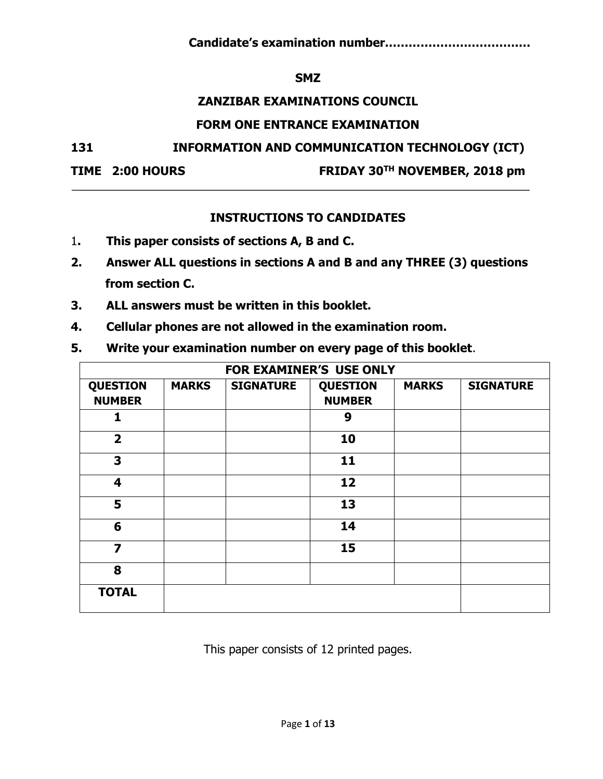**Candidate's examination number…………………………….…**

## **SMZ**

## **ZANZIBAR EXAMINATIONS COUNCIL**

## **FORM ONE ENTRANCE EXAMINATION**

**131 INFORMATION AND COMMUNICATION TECHNOLOGY (ICT)**

**TIME 2:00 HOURS FRIDAY 30TH NOVEMBER, 2018 pm**

# **INSTRUCTIONS TO CANDIDATES**

- 1**. This paper consists of sections A, B and C.**
- **2. Answer ALL questions in sections A and B and any THREE (3) questions from section C.**
- **3. ALL answers must be written in this booklet.**
- **4. Cellular phones are not allowed in the examination room.**
- **5. Write your examination number on every page of this booklet**.

|                                  | FOR EXAMINER'S USE ONLY |                  |                                  |              |                  |  |  |  |  |
|----------------------------------|-------------------------|------------------|----------------------------------|--------------|------------------|--|--|--|--|
| <b>QUESTION</b><br><b>NUMBER</b> | <b>MARKS</b>            | <b>SIGNATURE</b> | <b>QUESTION</b><br><b>NUMBER</b> | <b>MARKS</b> | <b>SIGNATURE</b> |  |  |  |  |
|                                  |                         |                  | 9                                |              |                  |  |  |  |  |
| $\overline{2}$                   |                         |                  | 10                               |              |                  |  |  |  |  |
| 3                                |                         |                  | 11                               |              |                  |  |  |  |  |
| 4                                |                         |                  | 12                               |              |                  |  |  |  |  |
| 5                                |                         |                  | 13                               |              |                  |  |  |  |  |
| 6                                |                         |                  | 14                               |              |                  |  |  |  |  |
| $\overline{\mathbf{z}}$          |                         |                  | 15                               |              |                  |  |  |  |  |
| 8                                |                         |                  |                                  |              |                  |  |  |  |  |
| <b>TOTAL</b>                     |                         |                  |                                  |              |                  |  |  |  |  |

This paper consists of 12 printed pages.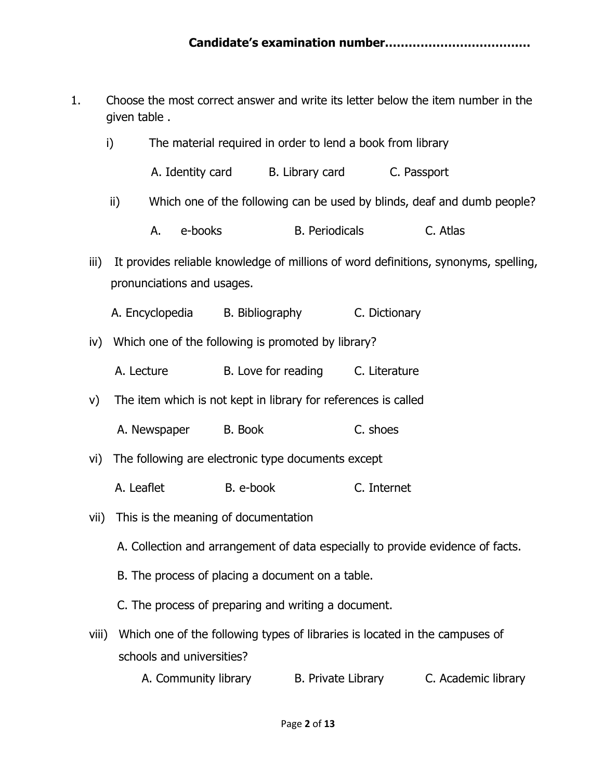1. Choose the most correct answer and write its letter below the item number in the given table .

| i)    |               | The material required in order to lend a book from library |                                                                |                                   |                       |                                                                                     |  |  |
|-------|---------------|------------------------------------------------------------|----------------------------------------------------------------|-----------------------------------|-----------------------|-------------------------------------------------------------------------------------|--|--|
|       |               |                                                            | A. Identity card B. Library card C. Passport                   |                                   |                       |                                                                                     |  |  |
|       | $\mathsf{ii}$ |                                                            |                                                                |                                   |                       | Which one of the following can be used by blinds, deaf and dumb people?             |  |  |
|       | А.            | e-books                                                    |                                                                |                                   | <b>B.</b> Periodicals | C. Atlas                                                                            |  |  |
| iii)  |               | pronunciations and usages.                                 |                                                                |                                   |                       | It provides reliable knowledge of millions of word definitions, synonyms, spelling, |  |  |
|       |               |                                                            | A. Encyclopedia B. Bibliography                                |                                   | C. Dictionary         |                                                                                     |  |  |
|       |               |                                                            | iv) Which one of the following is promoted by library?         |                                   |                       |                                                                                     |  |  |
|       |               | A. Lecture                                                 |                                                                | B. Love for reading C. Literature |                       |                                                                                     |  |  |
| V)    |               |                                                            | The item which is not kept in library for references is called |                                   |                       |                                                                                     |  |  |
|       |               |                                                            | A. Newspaper B. Book                                           |                                   | C. shoes              |                                                                                     |  |  |
| vi)   |               |                                                            | The following are electronic type documents except             |                                   |                       |                                                                                     |  |  |
|       |               | A. Leaflet                                                 | B. e-book                                                      |                                   | C. Internet           |                                                                                     |  |  |
|       |               |                                                            | vii) This is the meaning of documentation                      |                                   |                       |                                                                                     |  |  |
|       |               |                                                            |                                                                |                                   |                       | A. Collection and arrangement of data especially to provide evidence of facts.      |  |  |
|       |               |                                                            | B. The process of placing a document on a table.               |                                   |                       |                                                                                     |  |  |
|       |               |                                                            | C. The process of preparing and writing a document.            |                                   |                       |                                                                                     |  |  |
| viii) |               | schools and universities?                                  |                                                                |                                   |                       | Which one of the following types of libraries is located in the campuses of         |  |  |
|       |               | A. Community library                                       |                                                                | B. Private Library                |                       | C. Academic library                                                                 |  |  |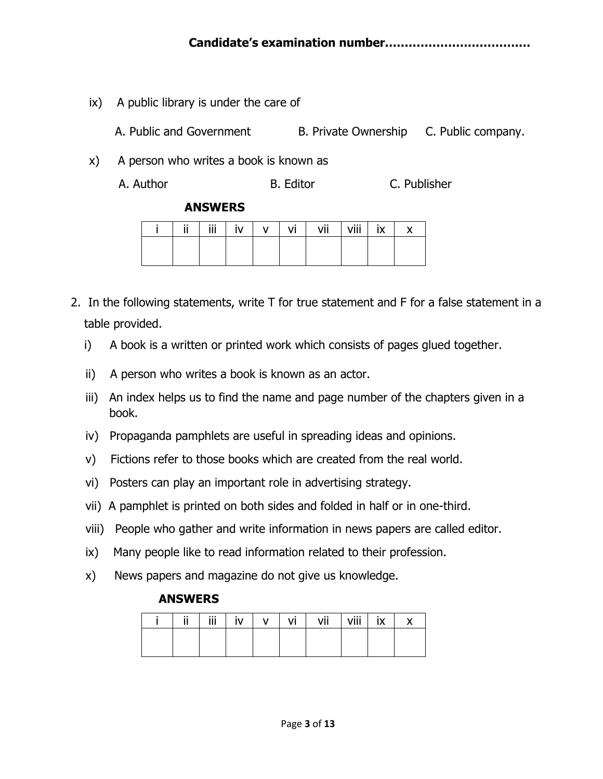ix) A public library is under the care of

A. Public and Government B. Private Ownership C. Public company.

x) A person who writes a book is known as

A. Author **B. Editor** B. Editor **C. Publisher** 

#### **ANSWERS**

| <br> | $\ddot{\phantom{a}}$<br> | ۰<br>" | . . | - | vii | valli -<br>VIII | $\cdots$ |  |
|------|--------------------------|--------|-----|---|-----|-----------------|----------|--|
|      |                          |        |     |   |     |                 |          |  |
|      |                          |        |     |   |     |                 |          |  |

- 2. In the following statements, write T for true statement and F for a false statement in a table provided.
	- i) A book is a written or printed work which consists of pages glued together.
	- ii) A person who writes a book is known as an actor.
	- iii) An index helps us to find the name and page number of the chapters given in a book.
	- iv) Propaganda pamphlets are useful in spreading ideas and opinions.
	- v) Fictions refer to those books which are created from the real world.
	- vi) Posters can play an important role in advertising strategy.
	- vii) A pamphlet is printed on both sides and folded in half or in one-third.
	- viii) People who gather and write information in news papers are called editor.
	- ix) Many people like to read information related to their profession.
	- x) News papers and magazine do not give us knowledge.

## **ANSWERS**

| 11<br> | $\ddot{\mathbf{a}}$<br> | n 1<br>. . | . . | ٧ı | vii | viii<br>VIII | $\sqrt{ }$ |  |
|--------|-------------------------|------------|-----|----|-----|--------------|------------|--|
|        |                         |            |     |    |     |              |            |  |
|        |                         |            |     |    |     |              |            |  |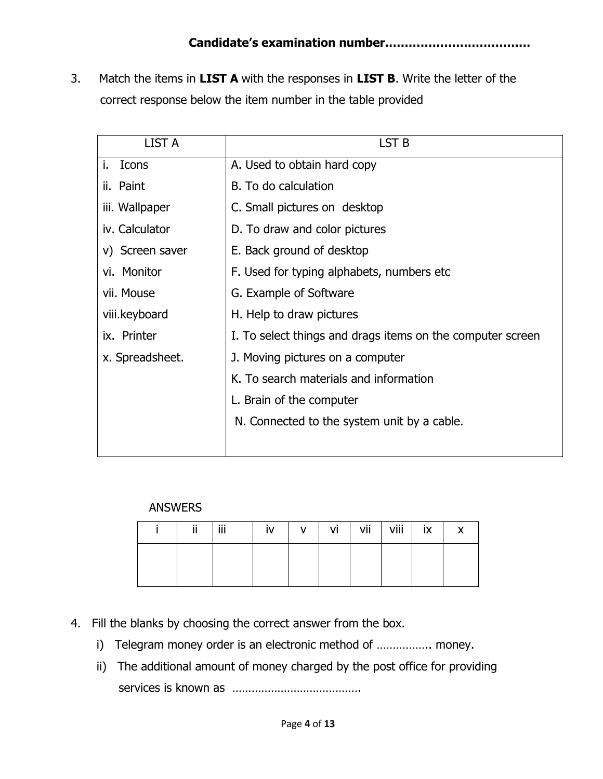3. Match the items in **LIST A** with the responses in **LIST B**. Write the letter of the correct response below the item number in the table provided

| <b>LIST A</b>   | LST <sub>B</sub>                                           |
|-----------------|------------------------------------------------------------|
| i.<br>Icons     | A. Used to obtain hard copy                                |
| ii. Paint       | B. To do calculation                                       |
| iii. Wallpaper  | C. Small pictures on desktop                               |
| iv. Calculator  | D. To draw and color pictures                              |
| v) Screen saver | E. Back ground of desktop                                  |
| vi. Monitor     | F. Used for typing alphabets, numbers etc.                 |
| vii. Mouse      | G. Example of Software                                     |
| viii.keyboard   | H. Help to draw pictures                                   |
| ix. Printer     | I. To select things and drags items on the computer screen |
| x. Spreadsheet. | J. Moving pictures on a computer                           |
|                 | K. To search materials and information                     |
|                 | L. Brain of the computer                                   |
|                 | N. Connected to the system unit by a cable.                |
|                 |                                                            |

# ANSWERS

| 11<br> | Ϊİ | I۷ | $\mathsf{v}$ | vi | vii | $V$ iii $\ $ | ix | $\checkmark$ |
|--------|----|----|--------------|----|-----|--------------|----|--------------|
|        |    |    |              |    |     |              |    |              |
|        |    |    |              |    |     |              |    |              |

- 4. Fill the blanks by choosing the correct answer from the box.
	- i) Telegram money order is an electronic method of ................ money.
	- ii) The additional amount of money charged by the post office for providing services is known as ………………………………….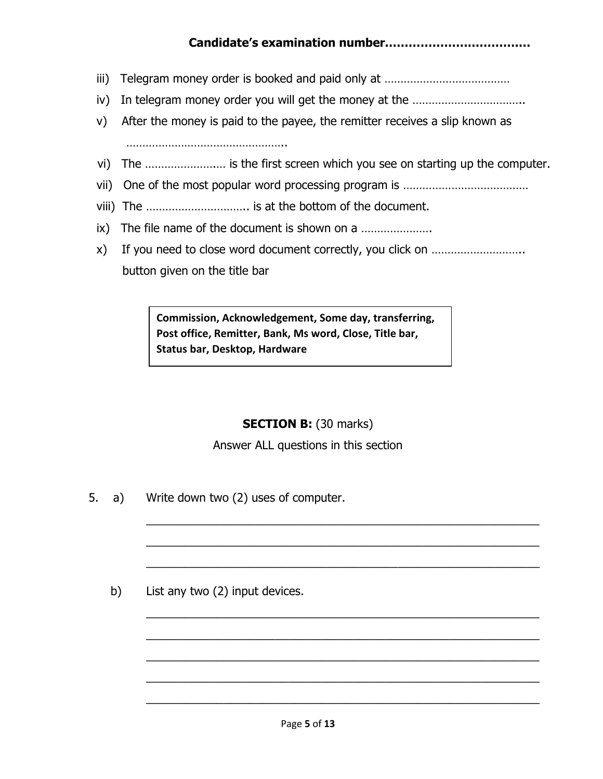# **Candidate's examination number…………………………….…**

- iii) Telegram money order is booked and paid only at ………………………………………………………………………
- iv) In telegram money order you will get the money at the ……………………………..
- v) After the money is paid to the payee, the remitter receives a slip known as

…………………………………………..

- vi) The ………………….… is the first screen which you see on starting up the computer.
- vii) One of the most popular word processing program is …………………………………
- viii) The ………………………….. is at the bottom of the document.
- ix) The file name of the document is shown on a ………………….
- x) If you need to close word document correctly, you click on ……………………….. button given on the title bar

**Commission, Acknowledgement, Some day, transferring, Post office, Remitter, Bank, Ms word, Close, Title bar, Status bar, Desktop, Hardware**

# **SECTION B:** (30 marks)

Answer ALL questions in this section

\_\_\_\_\_\_\_\_\_\_\_\_\_\_\_\_\_\_\_\_\_\_\_\_\_\_\_\_\_\_\_\_\_\_\_\_\_\_\_\_\_\_\_\_\_\_\_\_\_\_\_\_\_\_\_\_\_\_\_\_\_

\_\_\_\_\_\_\_\_\_\_\_\_\_\_\_\_\_\_\_\_\_\_\_\_\_\_\_\_\_\_\_\_\_\_\_\_\_\_\_\_\_\_\_\_\_\_\_\_\_\_\_\_\_\_\_\_\_\_\_\_\_

\_\_\_\_\_\_\_\_\_\_\_\_\_\_\_\_\_\_\_\_\_\_\_\_\_\_\_\_\_\_\_\_\_\_\_\_\_\_\_\_\_\_\_\_\_\_\_\_\_\_\_\_\_\_\_\_\_\_\_\_\_

\_\_\_\_\_\_\_\_\_\_\_\_\_\_\_\_\_\_\_\_\_\_\_\_\_\_\_\_\_\_\_\_\_\_\_\_\_\_\_\_\_\_\_\_\_\_\_\_\_\_\_\_\_\_\_\_\_\_\_\_\_

\_\_\_\_\_\_\_\_\_\_\_\_\_\_\_\_\_\_\_\_\_\_\_\_\_\_\_\_\_\_\_\_\_\_\_\_\_\_\_\_\_\_\_\_\_\_\_\_\_\_\_\_\_\_\_\_\_\_\_\_\_

\_\_\_\_\_\_\_\_\_\_\_\_\_\_\_\_\_\_\_\_\_\_\_\_\_\_\_\_\_\_\_\_\_\_\_\_\_\_\_\_\_\_\_\_\_\_\_\_\_\_\_\_\_\_\_\_\_\_\_\_\_

\_\_\_\_\_\_\_\_\_\_\_\_\_\_\_\_\_\_\_\_\_\_\_\_\_\_\_\_\_\_\_\_\_\_\_\_\_\_\_\_\_\_\_\_\_\_\_\_\_\_\_\_\_\_\_\_\_\_\_\_\_

\_\_\_\_\_\_\_\_\_\_\_\_\_\_\_\_\_\_\_\_\_\_\_\_\_\_\_\_\_\_\_\_\_\_\_\_\_\_\_\_\_\_\_\_\_\_\_\_\_\_\_\_\_\_\_\_\_\_\_\_\_

5. a) Write down two (2) uses of computer.

b) List any two (2) input devices.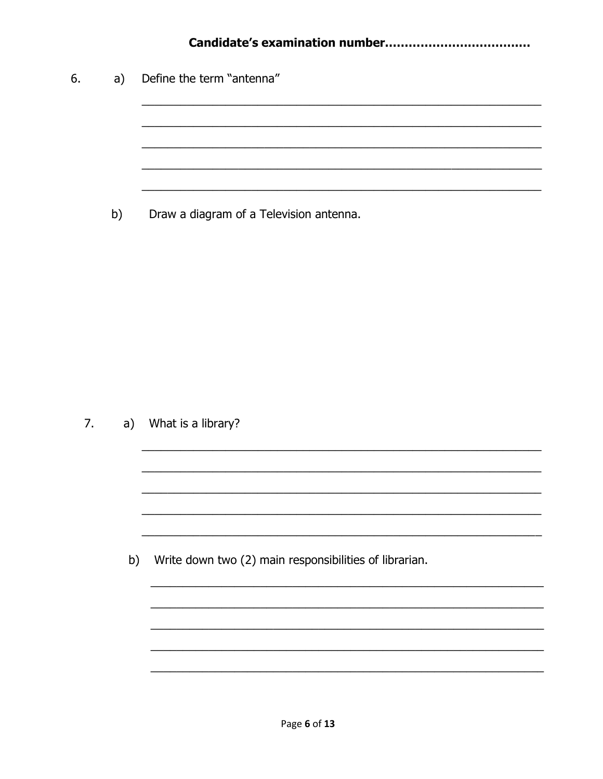| 6. | a) | Define the term "antenna"               |
|----|----|-----------------------------------------|
|    |    |                                         |
|    |    |                                         |
|    |    |                                         |
|    | b) | Draw a diagram of a Television antenna. |

7. a) What is a library?

b) Write down two (2) main responsibilities of librarian.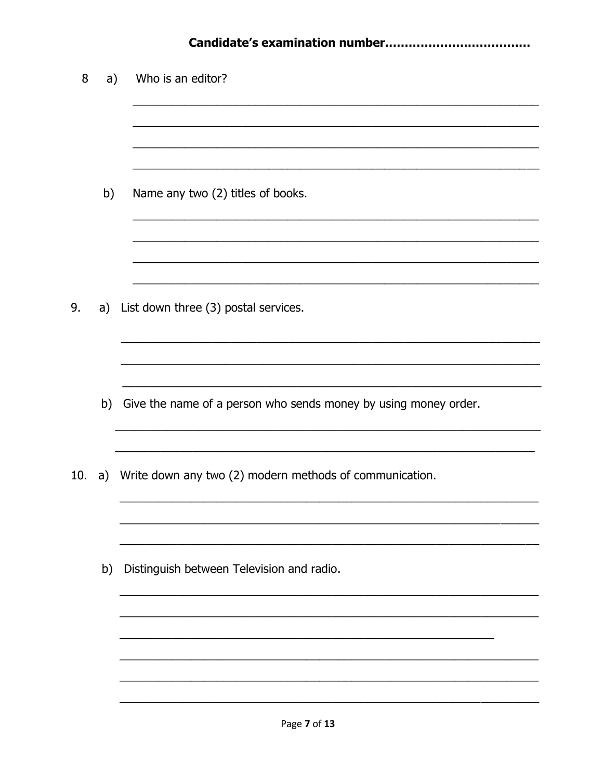|     |    | Candidate's examination number                                     |
|-----|----|--------------------------------------------------------------------|
| 8   | a) | Who is an editor?                                                  |
|     | b) | Name any two (2) titles of books.                                  |
| 9.  | a) | List down three (3) postal services.                               |
|     |    | b) Give the name of a person who sends money by using money order. |
| 10. |    | a) Write down any two (2) modern methods of communication.         |
|     | b) | Distinguish between Television and radio.                          |
|     |    |                                                                    |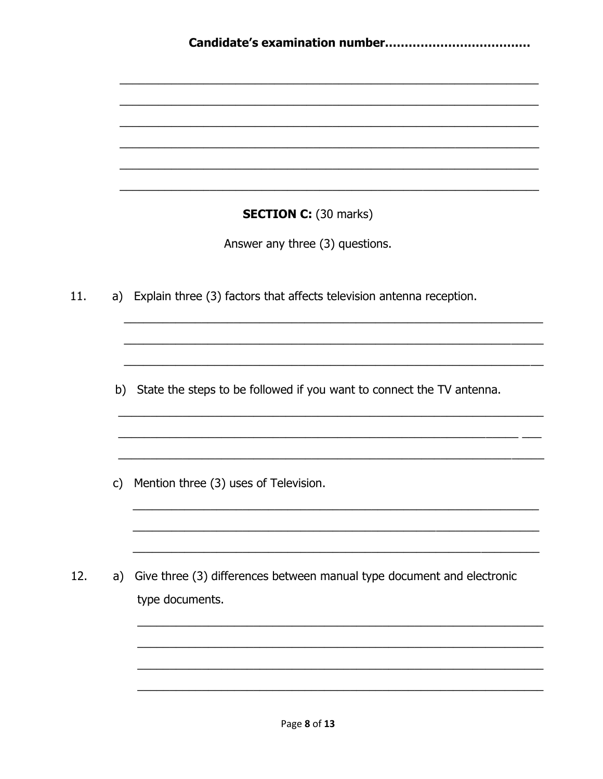|              | <b>SECTION C:</b> (30 marks)                                           |
|--------------|------------------------------------------------------------------------|
|              | Answer any three (3) questions.                                        |
| a)           | Explain three (3) factors that affects television antenna reception.   |
|              |                                                                        |
| b)           | State the steps to be followed if you want to connect the TV antenna.  |
|              |                                                                        |
| $\mathsf{C}$ | Mention three (3) uses of Television.                                  |
|              |                                                                        |
| a)           | Give three (3) differences between manual type document and electronic |
|              | type documents.                                                        |
|              |                                                                        |

 $11.$ 

12.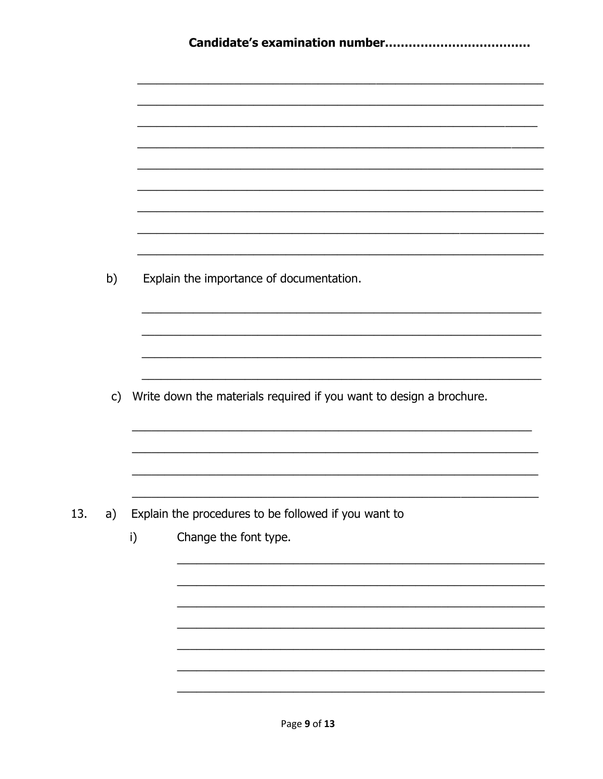|     | b)           |    | Explain the importance of documentation.                            |
|-----|--------------|----|---------------------------------------------------------------------|
|     |              |    |                                                                     |
|     |              |    |                                                                     |
|     | $\mathsf{C}$ |    | Write down the materials required if you want to design a brochure. |
|     |              |    |                                                                     |
| 13. | a)           |    | Explain the procedures to be followed if you want to                |
|     |              | i) | Change the font type.                                               |
|     |              |    |                                                                     |
|     |              |    |                                                                     |
|     |              |    |                                                                     |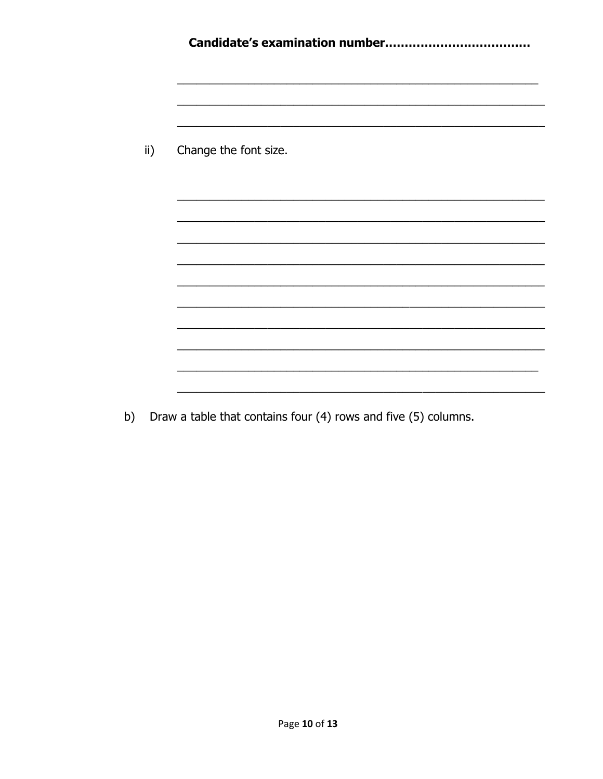| $\mathsf{ii}$ ) | Change the font size. |
|-----------------|-----------------------|
|                 |                       |
|                 |                       |
|                 |                       |
|                 |                       |
|                 |                       |
|                 |                       |
|                 |                       |
|                 |                       |

b) Draw a table that contains four (4) rows and five (5) columns.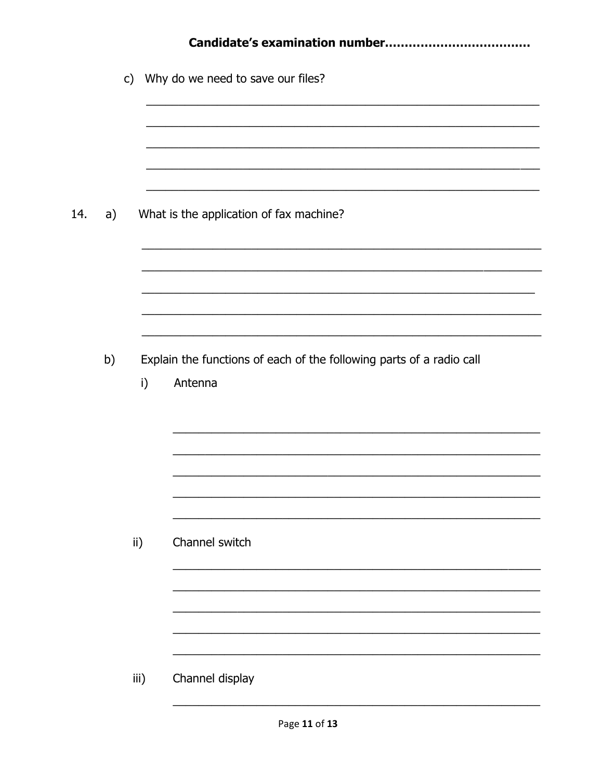|     |    |      |    | c) Why do we need to save our files?                                            |  |  |  |  |  |
|-----|----|------|----|---------------------------------------------------------------------------------|--|--|--|--|--|
|     |    |      |    |                                                                                 |  |  |  |  |  |
|     |    |      |    |                                                                                 |  |  |  |  |  |
| 14. | a) |      |    | What is the application of fax machine?                                         |  |  |  |  |  |
|     |    |      |    |                                                                                 |  |  |  |  |  |
|     |    |      |    |                                                                                 |  |  |  |  |  |
|     |    |      |    |                                                                                 |  |  |  |  |  |
|     | b) |      | i) | Explain the functions of each of the following parts of a radio call<br>Antenna |  |  |  |  |  |
|     |    |      |    |                                                                                 |  |  |  |  |  |
|     |    |      |    |                                                                                 |  |  |  |  |  |
|     |    |      |    |                                                                                 |  |  |  |  |  |
|     |    |      |    |                                                                                 |  |  |  |  |  |
|     |    | ii)  |    | Channel switch                                                                  |  |  |  |  |  |
|     |    |      |    |                                                                                 |  |  |  |  |  |
|     |    |      |    |                                                                                 |  |  |  |  |  |
|     |    |      |    |                                                                                 |  |  |  |  |  |
|     |    | iii) |    | Channel display                                                                 |  |  |  |  |  |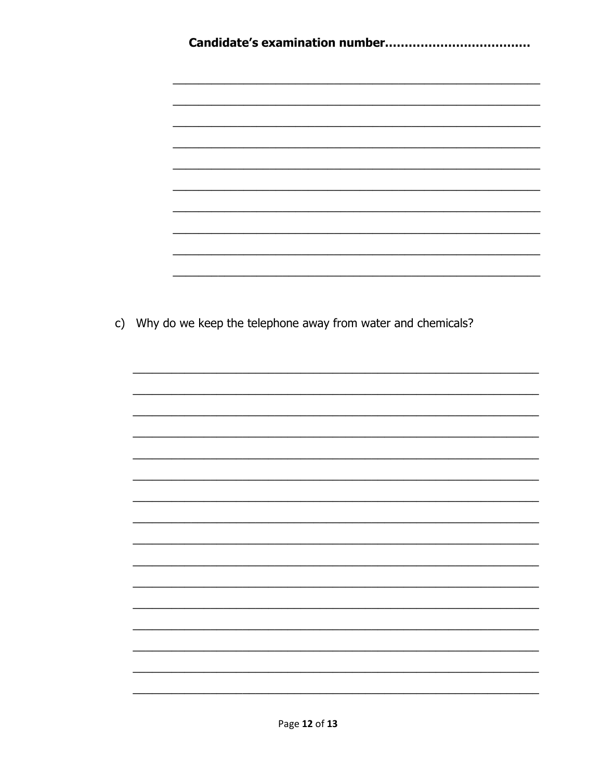| c) Why do we keep the telephone away from water and chemicals? |
|----------------------------------------------------------------|
|                                                                |
|                                                                |
|                                                                |
|                                                                |
|                                                                |
|                                                                |
|                                                                |
|                                                                |
|                                                                |
|                                                                |
|                                                                |
|                                                                |
|                                                                |
|                                                                |